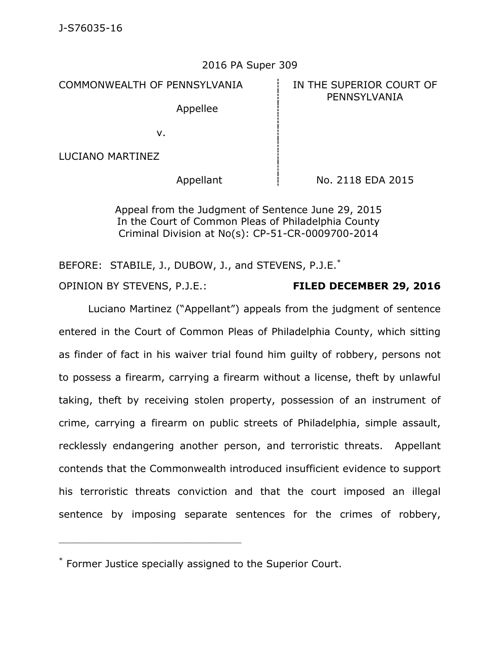#### 2016 PA Super 309

COMMONWEALTH OF PENNSYLVANIA **IN THE SUPERIOR COURT OF** 

Appellee

# PENNSYLVANIA

v.

LUCIANO MARTINEZ

Appellant  $\frac{1}{1}$  No. 2118 EDA 2015

Appeal from the Judgment of Sentence June 29, 2015 In the Court of Common Pleas of Philadelphia County Criminal Division at No(s): CP-51-CR-0009700-2014

BEFORE: STABILE, J., DUBOW, J., and STEVENS, P.J.E.<sup>\*</sup> OPINION BY STEVENS, P.J.E.: **FILED DECEMBER 29, 2016**

Luciano Martinez ("Appellant") appeals from the judgment of sentence entered in the Court of Common Pleas of Philadelphia County, which sitting as finder of fact in his waiver trial found him guilty of robbery, persons not to possess a firearm, carrying a firearm without a license, theft by unlawful taking, theft by receiving stolen property, possession of an instrument of crime, carrying a firearm on public streets of Philadelphia, simple assault, recklessly endangering another person, and terroristic threats. Appellant contends that the Commonwealth introduced insufficient evidence to support his terroristic threats conviction and that the court imposed an illegal sentence by imposing separate sentences for the crimes of robbery,

<sup>\*</sup> Former Justice specially assigned to the Superior Court.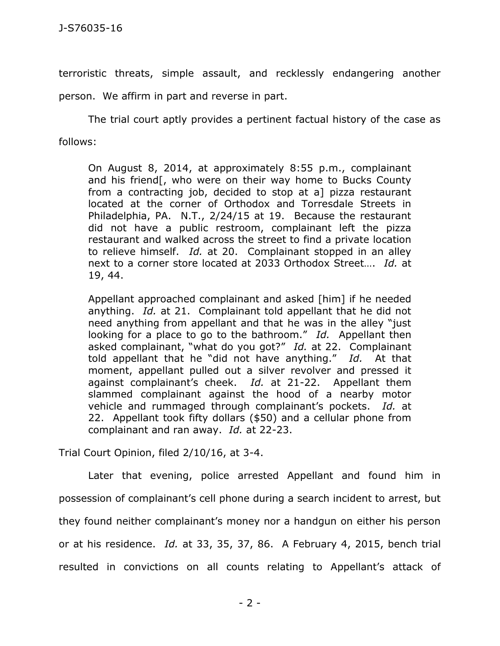terroristic threats, simple assault, and recklessly endangering another

person. We affirm in part and reverse in part.

The trial court aptly provides a pertinent factual history of the case as follows:

On August 8, 2014, at approximately 8:55 p.m., complainant and his friend[, who were on their way home to Bucks County from a contracting job, decided to stop at a] pizza restaurant located at the corner of Orthodox and Torresdale Streets in Philadelphia, PA. N.T., 2/24/15 at 19. Because the restaurant did not have a public restroom, complainant left the pizza restaurant and walked across the street to find a private location to relieve himself. *Id.* at 20. Complainant stopped in an alley next to a corner store located at 2033 Orthodox Street…. *Id.* at 19, 44.

Appellant approached complainant and asked [him] if he needed anything. *Id.* at 21. Complainant told appellant that he did not need anything from appellant and that he was in the alley "just looking for a place to go to the bathroom." *Id.* Appellant then asked complainant, "what do you got?" *Id.* at 22. Complainant told appellant that he "did not have anything." *Id.* At that moment, appellant pulled out a silver revolver and pressed it against complainant's cheek. *Id.* at 21-22. Appellant them slammed complainant against the hood of a nearby motor vehicle and rummaged through complainant's pockets. *Id.* at 22. Appellant took fifty dollars (\$50) and a cellular phone from complainant and ran away. *Id.* at 22-23.

Trial Court Opinion, filed 2/10/16, at 3-4.

Later that evening, police arrested Appellant and found him in possession of complainant's cell phone during a search incident to arrest, but they found neither complainant's money nor a handgun on either his person or at his residence. *Id.* at 33, 35, 37, 86. A February 4, 2015, bench trial resulted in convictions on all counts relating to Appellant's attack of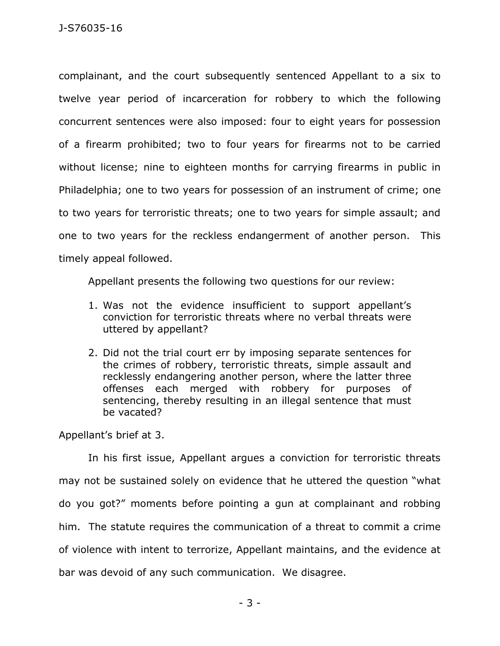complainant, and the court subsequently sentenced Appellant to a six to twelve year period of incarceration for robbery to which the following concurrent sentences were also imposed: four to eight years for possession of a firearm prohibited; two to four years for firearms not to be carried without license; nine to eighteen months for carrying firearms in public in Philadelphia; one to two years for possession of an instrument of crime; one to two years for terroristic threats; one to two years for simple assault; and one to two years for the reckless endangerment of another person. This timely appeal followed.

Appellant presents the following two questions for our review:

- 1. Was not the evidence insufficient to support appellant's conviction for terroristic threats where no verbal threats were uttered by appellant?
- 2. Did not the trial court err by imposing separate sentences for the crimes of robbery, terroristic threats, simple assault and recklessly endangering another person, where the latter three offenses each merged with robbery for purposes of sentencing, thereby resulting in an illegal sentence that must be vacated?

Appellant's brief at 3.

In his first issue, Appellant argues a conviction for terroristic threats may not be sustained solely on evidence that he uttered the question "what do you got?" moments before pointing a gun at complainant and robbing him. The statute requires the communication of a threat to commit a crime of violence with intent to terrorize, Appellant maintains, and the evidence at bar was devoid of any such communication. We disagree.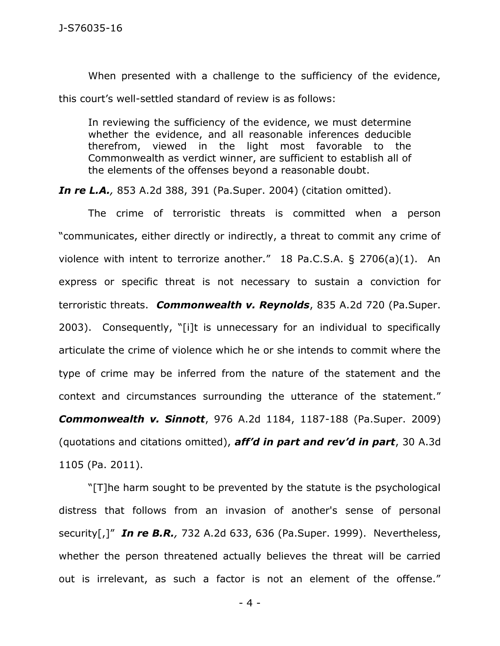When presented with a challenge to the sufficiency of the evidence, this court's well-settled standard of review is as follows:

In reviewing the sufficiency of the evidence, we must determine whether the evidence, and all reasonable inferences deducible therefrom, viewed in the light most favorable to the Commonwealth as verdict winner, are sufficient to establish all of the elements of the offenses beyond a reasonable doubt.

*In re L.A.,* 853 A.2d 388, 391 (Pa.Super. 2004) (citation omitted).

The crime of terroristic threats is committed when a person "communicates, either directly or indirectly, a threat to commit any crime of violence with intent to terrorize another." 18 Pa.C.S.A. § 2706(a)(1). An express or specific threat is not necessary to sustain a conviction for terroristic threats. *Commonwealth v. Reynolds*, 835 A.2d 720 (Pa.Super. 2003). Consequently, "[i]t is unnecessary for an individual to specifically articulate the crime of violence which he or she intends to commit where the type of crime may be inferred from the nature of the statement and the context and circumstances surrounding the utterance of the statement." *Commonwealth v. Sinnott*, 976 A.2d 1184, 1187-188 (Pa.Super. 2009) (quotations and citations omitted), *aff'd in part and rev'd in part*, 30 A.3d 1105 (Pa. 2011).

"[T]he harm sought to be prevented by the statute is the psychological distress that follows from an invasion of another's sense of personal security[,]" *In re B.R.,* 732 A.2d 633, 636 (Pa.Super. 1999). Nevertheless, whether the person threatened actually believes the threat will be carried out is irrelevant, as such a factor is not an element of the offense."

- 4 -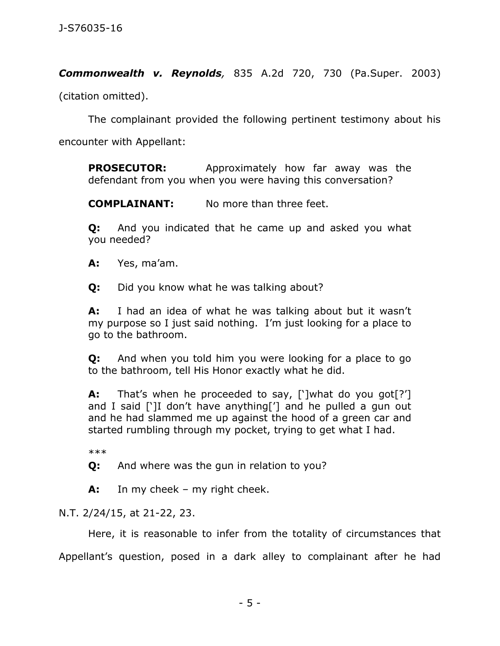*Commonwealth v. Reynolds,* 835 A.2d 720, 730 (Pa.Super. 2003)

(citation omitted).

The complainant provided the following pertinent testimony about his

encounter with Appellant:

**PROSECUTOR:** Approximately how far away was the defendant from you when you were having this conversation?

**COMPLAINANT:** No more than three feet.

**Q:** And you indicated that he came up and asked you what you needed?

**A:** Yes, ma'am.

**Q:** Did you know what he was talking about?

**A:** I had an idea of what he was talking about but it wasn't my purpose so I just said nothing. I'm just looking for a place to go to the bathroom.

**Q:** And when you told him you were looking for a place to go to the bathroom, tell His Honor exactly what he did.

**A:** That's when he proceeded to say, [']what do you got[?'] and I said [']I don't have anything['] and he pulled a gun out and he had slammed me up against the hood of a green car and started rumbling through my pocket, trying to get what I had.

\*\*\*

**Q:** And where was the gun in relation to you?

**A:** In my cheek – my right cheek.

N.T. 2/24/15, at 21-22, 23.

Here, it is reasonable to infer from the totality of circumstances that Appellant's question, posed in a dark alley to complainant after he had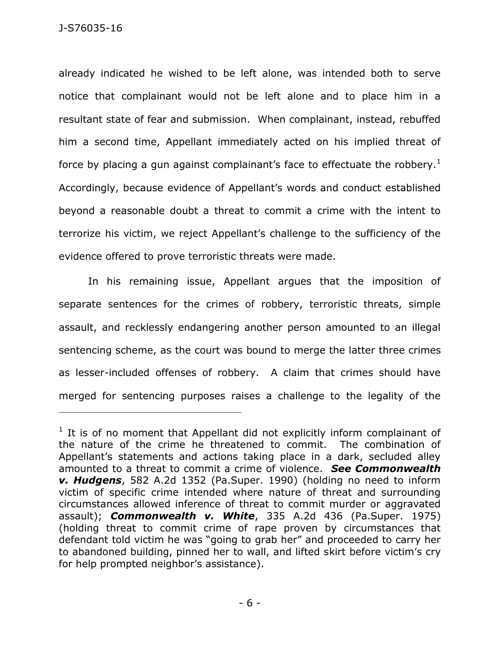already indicated he wished to be left alone, was intended both to serve notice that complainant would not be left alone and to place him in a resultant state of fear and submission. When complainant, instead, rebuffed him a second time, Appellant immediately acted on his implied threat of force by placing a gun against complainant's face to effectuate the robbery.<sup>1</sup> Accordingly, because evidence of Appellant's words and conduct established beyond a reasonable doubt a threat to commit a crime with the intent to terrorize his victim, we reject Appellant's challenge to the sufficiency of the evidence offered to prove terroristic threats were made.

In his remaining issue, Appellant argues that the imposition of separate sentences for the crimes of robbery, terroristic threats, simple assault, and recklessly endangering another person amounted to an illegal sentencing scheme, as the court was bound to merge the latter three crimes as lesser-included offenses of robbery. A claim that crimes should have merged for sentencing purposes raises a challenge to the legality of the

 $1$  It is of no moment that Appellant did not explicitly inform complainant of the nature of the crime he threatened to commit. The combination of Appellant's statements and actions taking place in a dark, secluded alley amounted to a threat to commit a crime of violence. *See Commonwealth v. Hudgens*, 582 A.2d 1352 (Pa.Super. 1990) (holding no need to inform victim of specific crime intended where nature of threat and surrounding circumstances allowed inference of threat to commit murder or aggravated assault); *Commonwealth v. White*, 335 A.2d 436 (Pa.Super. 1975) (holding threat to commit crime of rape proven by circumstances that defendant told victim he was "going to grab her" and proceeded to carry her to abandoned building, pinned her to wall, and lifted skirt before victim's cry for help prompted neighbor's assistance).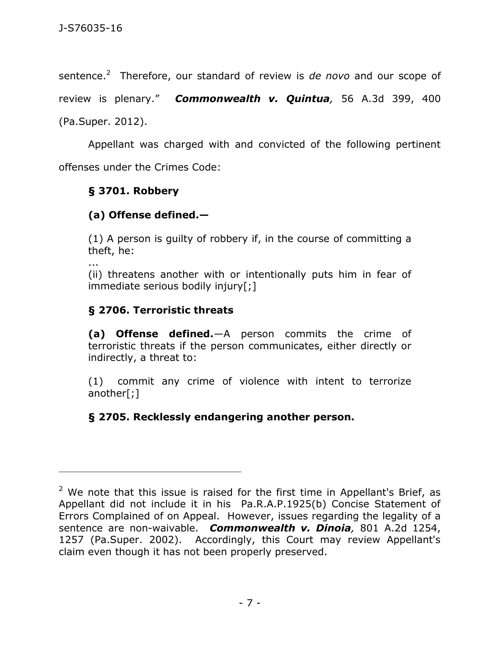sentence.<sup>2</sup> Therefore, our standard of review is *de novo* and our scope of

review is plenary." *Commonwealth v. Quintua,* 56 A.3d 399, 400

(Pa.Super. 2012).

Appellant was charged with and convicted of the following pertinent offenses under the Crimes Code:

### **§ 3701. Robbery**

### **(a) Offense defined.—**

(1) A person is guilty of robbery if, in the course of committing a theft, he:

...

(ii) threatens another with or intentionally puts him in fear of immediate serious bodily injury[;]

### **§ 2706. Terroristic threats**

\_\_\_\_\_\_\_\_\_\_\_\_\_\_\_\_\_\_\_\_\_\_\_\_\_\_\_\_\_\_\_\_\_\_\_\_\_\_\_\_\_\_\_\_

**(a) Offense defined.**—A person commits the crime of terroristic threats if the person communicates, either directly or indirectly, a threat to:

(1) commit any crime of violence with intent to terrorize another[;]

## **§ 2705. Recklessly endangering another person.**

 $2$  We note that this issue is raised for the first time in Appellant's Brief, as Appellant did not include it in his Pa.R.A.P.1925(b) Concise Statement of Errors Complained of on Appeal. However, issues regarding the legality of a sentence are non-waivable. *Commonwealth v. Dinoia,* 801 A.2d 1254, 1257 (Pa.Super. 2002). Accordingly, this Court may review Appellant's claim even though it has not been properly preserved.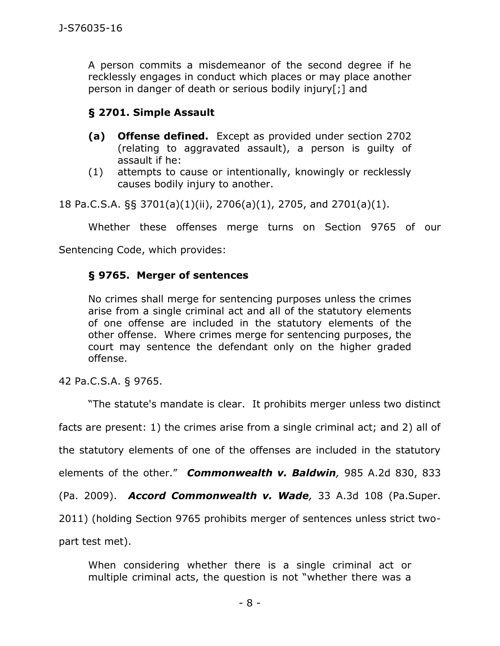A person commits a misdemeanor of the second degree if he recklessly engages in conduct which places or may place another person in danger of death or serious bodily injury[;] and

### **§ 2701. Simple Assault**

- **(a) Offense defined.** Except as provided under section 2702 (relating to aggravated assault), a person is guilty of assault if he:
- (1) attempts to cause or intentionally, knowingly or recklessly causes bodily injury to another.

18 Pa.C.S.A. §§ 3701(a)(1)(ii), 2706(a)(1), 2705, and 2701(a)(1).

Whether these offenses merge turns on Section 9765 of our

Sentencing Code, which provides:

#### **§ 9765. Merger of sentences**

No crimes shall merge for sentencing purposes unless the crimes arise from a single criminal act and all of the statutory elements of one offense are included in the statutory elements of the other offense. Where crimes merge for sentencing purposes, the court may sentence the defendant only on the higher graded offense.

42 Pa.C.S.A. § 9765.

"The statute's mandate is clear. It prohibits merger unless two distinct facts are present: 1) the crimes arise from a single criminal act; and 2) all of the statutory elements of one of the offenses are included in the statutory elements of the other." *Commonwealth v. Baldwin,* 985 A.2d 830, 833 (Pa. 2009). *Accord Commonwealth v. Wade,* 33 A.3d 108 (Pa.Super. 2011) (holding Section 9765 prohibits merger of sentences unless strict twopart test met).

When considering whether there is a single criminal act or multiple criminal acts, the question is not "whether there was a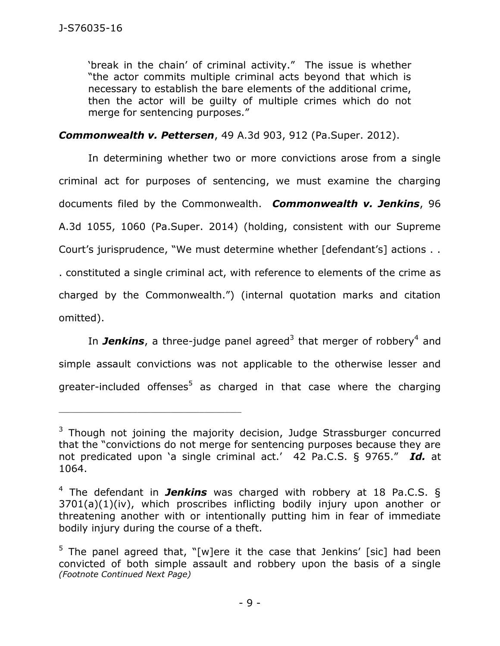'break in the chain' of criminal activity." The issue is whether "the actor commits multiple criminal acts beyond that which is necessary to establish the bare elements of the additional crime, then the actor will be guilty of multiple crimes which do not merge for sentencing purposes."

*Commonwealth v. Pettersen*, 49 A.3d 903, 912 (Pa.Super. 2012).

In determining whether two or more convictions arose from a single criminal act for purposes of sentencing, we must examine the charging documents filed by the Commonwealth. *Commonwealth v. Jenkins*, 96 A.3d 1055, 1060 (Pa.Super. 2014) (holding, consistent with our Supreme Court's jurisprudence, "We must determine whether [defendant's] actions . . . constituted a single criminal act, with reference to elements of the crime as charged by the Commonwealth.") (internal quotation marks and citation omitted).

In **Jenkins**, a three-judge panel agreed<sup>3</sup> that merger of robbery<sup>4</sup> and simple assault convictions was not applicable to the otherwise lesser and greater-included offenses<sup>5</sup> as charged in that case where the charging

 $3$  Though not joining the majority decision, Judge Strassburger concurred that the "convictions do not merge for sentencing purposes because they are not predicated upon 'a single criminal act.' 42 Pa.C.S. § 9765." *Id.* at 1064.

<sup>4</sup> The defendant in *Jenkins* was charged with robbery at 18 Pa.C.S. § 3701(a)(1)(iv), which proscribes inflicting bodily injury upon another or threatening another with or intentionally putting him in fear of immediate bodily injury during the course of a theft.

<sup>&</sup>lt;sup>5</sup> The panel agreed that, "[w]ere it the case that Jenkins' [sic] had been convicted of both simple assault and robbery upon the basis of a single *(Footnote Continued Next Page)*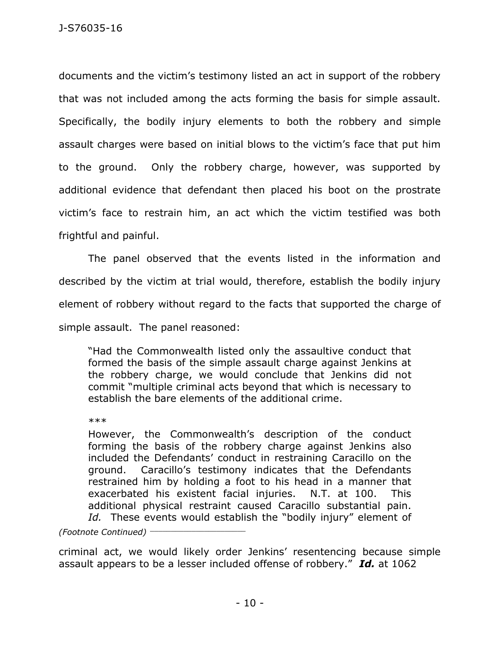documents and the victim's testimony listed an act in support of the robbery that was not included among the acts forming the basis for simple assault. Specifically, the bodily injury elements to both the robbery and simple assault charges were based on initial blows to the victim's face that put him to the ground. Only the robbery charge, however, was supported by additional evidence that defendant then placed his boot on the prostrate victim's face to restrain him, an act which the victim testified was both frightful and painful.

The panel observed that the events listed in the information and described by the victim at trial would, therefore, establish the bodily injury element of robbery without regard to the facts that supported the charge of simple assault. The panel reasoned:

"Had the Commonwealth listed only the assaultive conduct that formed the basis of the simple assault charge against Jenkins at the robbery charge, we would conclude that Jenkins did not commit "multiple criminal acts beyond that which is necessary to establish the bare elements of the additional crime.

\*\*\*

However, the Commonwealth's description of the conduct forming the basis of the robbery charge against Jenkins also included the Defendants' conduct in restraining Caracillo on the ground. Caracillo's testimony indicates that the Defendants restrained him by holding a foot to his head in a manner that exacerbated his existent facial injuries. N.T. at 100. This additional physical restraint caused Caracillo substantial pain. *Id.* These events would establish the "bodily injury" element of

*(Footnote Continued)* \_\_\_\_\_\_\_\_\_\_\_\_\_\_\_\_\_\_\_\_\_\_\_

criminal act, we would likely order Jenkins' resentencing because simple assault appears to be a lesser included offense of robbery." *Id.* at 1062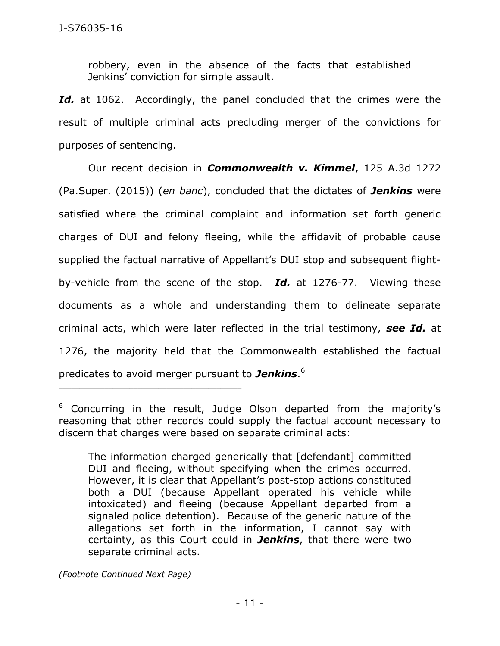robbery, even in the absence of the facts that established Jenkins' conviction for simple assault.

Id. at 1062. Accordingly, the panel concluded that the crimes were the result of multiple criminal acts precluding merger of the convictions for purposes of sentencing.

Our recent decision in *Commonwealth v. Kimmel*, 125 A.3d 1272 (Pa.Super. (2015)) (*en banc*), concluded that the dictates of *Jenkins* were satisfied where the criminal complaint and information set forth generic charges of DUI and felony fleeing, while the affidavit of probable cause supplied the factual narrative of Appellant's DUI stop and subsequent flightby-vehicle from the scene of the stop. *Id.* at 1276-77. Viewing these documents as a whole and understanding them to delineate separate criminal acts, which were later reflected in the trial testimony, *see Id.* at 1276, the majority held that the Commonwealth established the factual predicates to avoid merger pursuant to *Jenkins*. 6

*(Footnote Continued Next Page)*

 $6$  Concurring in the result, Judge Olson departed from the majority's reasoning that other records could supply the factual account necessary to discern that charges were based on separate criminal acts:

The information charged generically that [defendant] committed DUI and fleeing, without specifying when the crimes occurred. However, it is clear that Appellant's post-stop actions constituted both a DUI (because Appellant operated his vehicle while intoxicated) and fleeing (because Appellant departed from a signaled police detention). Because of the generic nature of the allegations set forth in the information, I cannot say with certainty, as this Court could in *Jenkins*, that there were two separate criminal acts.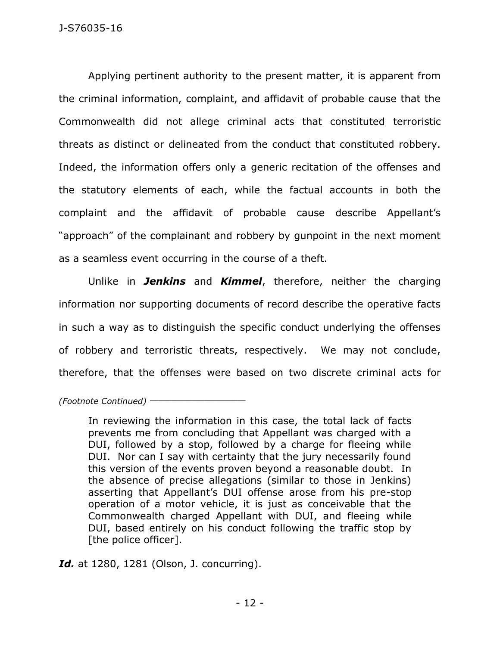Applying pertinent authority to the present matter, it is apparent from the criminal information, complaint, and affidavit of probable cause that the Commonwealth did not allege criminal acts that constituted terroristic threats as distinct or delineated from the conduct that constituted robbery. Indeed, the information offers only a generic recitation of the offenses and the statutory elements of each, while the factual accounts in both the complaint and the affidavit of probable cause describe Appellant's "approach" of the complainant and robbery by gunpoint in the next moment as a seamless event occurring in the course of a theft.

Unlike in *Jenkins* and *Kimmel*, therefore, neither the charging information nor supporting documents of record describe the operative facts in such a way as to distinguish the specific conduct underlying the offenses of robbery and terroristic threats, respectively. We may not conclude, therefore, that the offenses were based on two discrete criminal acts for

*(Footnote Continued)* \_\_\_\_\_\_\_\_\_\_\_\_\_\_\_\_\_\_\_\_\_\_\_

In reviewing the information in this case, the total lack of facts prevents me from concluding that Appellant was charged with a DUI, followed by a stop, followed by a charge for fleeing while DUI. Nor can I say with certainty that the jury necessarily found this version of the events proven beyond a reasonable doubt. In the absence of precise allegations (similar to those in Jenkins) asserting that Appellant's DUI offense arose from his pre-stop operation of a motor vehicle, it is just as conceivable that the Commonwealth charged Appellant with DUI, and fleeing while DUI, based entirely on his conduct following the traffic stop by [the police officer].

*Id.* at 1280, 1281 (Olson, J. concurring).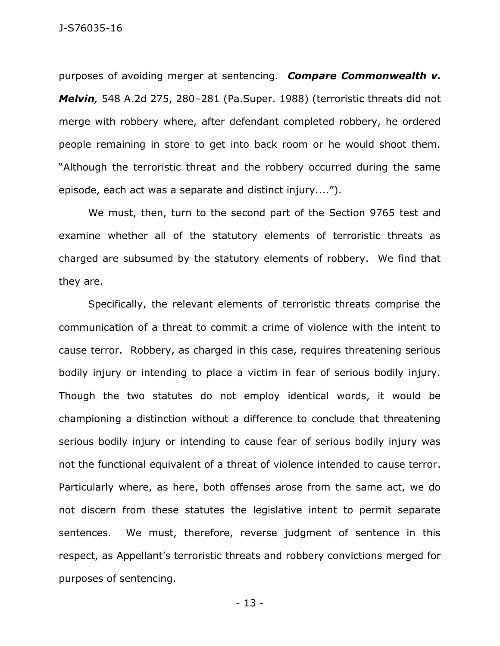purposes of avoiding merger at sentencing. *Compare Commonwealth v. Melvin,* 548 A.2d 275, 280–281 (Pa.Super. 1988) (terroristic threats did not merge with robbery where, after defendant completed robbery, he ordered people remaining in store to get into back room or he would shoot them. "Although the terroristic threat and the robbery occurred during the same episode, each act was a separate and distinct injury....").

We must, then, turn to the second part of the Section 9765 test and examine whether all of the statutory elements of terroristic threats as charged are subsumed by the statutory elements of robbery. We find that they are.

Specifically, the relevant elements of terroristic threats comprise the communication of a threat to commit a crime of violence with the intent to cause terror. Robbery, as charged in this case, requires threatening serious bodily injury or intending to place a victim in fear of serious bodily injury. Though the two statutes do not employ identical words, it would be championing a distinction without a difference to conclude that threatening serious bodily injury or intending to cause fear of serious bodily injury was not the functional equivalent of a threat of violence intended to cause terror. Particularly where, as here, both offenses arose from the same act, we do not discern from these statutes the legislative intent to permit separate sentences. We must, therefore, reverse judgment of sentence in this respect, as Appellant's terroristic threats and robbery convictions merged for purposes of sentencing.

- 13 -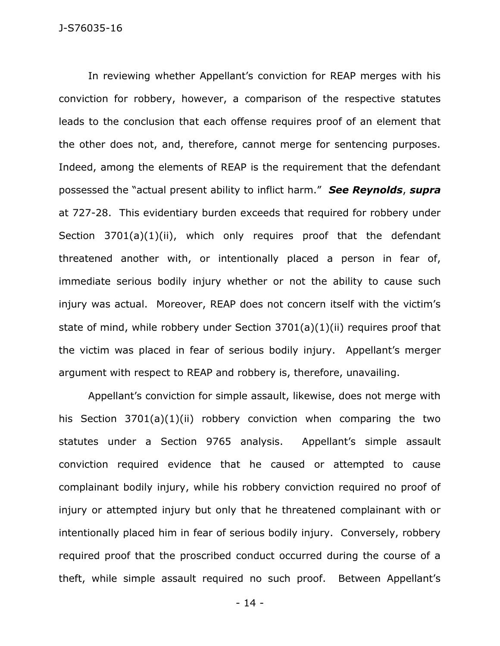In reviewing whether Appellant's conviction for REAP merges with his conviction for robbery, however, a comparison of the respective statutes leads to the conclusion that each offense requires proof of an element that the other does not, and, therefore, cannot merge for sentencing purposes. Indeed, among the elements of REAP is the requirement that the defendant possessed the "actual present ability to inflict harm." *See Reynolds*, *supra* at 727-28. This evidentiary burden exceeds that required for robbery under Section 3701(a)(1)(ii), which only requires proof that the defendant threatened another with, or intentionally placed a person in fear of, immediate serious bodily injury whether or not the ability to cause such injury was actual. Moreover, REAP does not concern itself with the victim's state of mind, while robbery under Section 3701(a)(1)(ii) requires proof that the victim was placed in fear of serious bodily injury. Appellant's merger argument with respect to REAP and robbery is, therefore, unavailing.

Appellant's conviction for simple assault, likewise, does not merge with his Section 3701(a)(1)(ii) robbery conviction when comparing the two statutes under a Section 9765 analysis. Appellant's simple assault conviction required evidence that he caused or attempted to cause complainant bodily injury, while his robbery conviction required no proof of injury or attempted injury but only that he threatened complainant with or intentionally placed him in fear of serious bodily injury. Conversely, robbery required proof that the proscribed conduct occurred during the course of a theft, while simple assault required no such proof. Between Appellant's

- 14 -